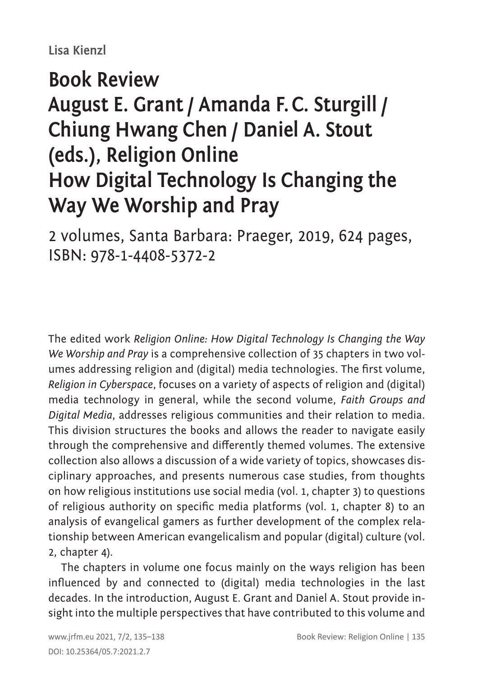## **Lisa Kienzl**

## **Book Review August E. Grant / Amanda F.C. Sturgill / Chiung Hwang Chen / Daniel A. Stout (eds.), Religion Online How Digital Technology Is Changing the Way We Worship and Pray**

2 volumes, Santa Barbara: Praeger, 2019, 624 pages, ISBN: 978-1-4408-5372-2

The edited work *Religion Online: How Digital Technology Is Changing the Way We Worship and Pray* is a comprehensive collection of 35 chapters in two volumes addressing religion and (digital) media technologies. The first volume, *Religion in Cyberspace*, focuses on a variety of aspects of religion and (digital) media technology in general, while the second volume, *Faith Groups and Digital Media*, addresses religious communities and their relation to media. This division structures the books and allows the reader to navigate easily through the comprehensive and differently themed volumes. The extensive collection also allows a discussion of a wide variety of topics, showcases disciplinary approaches, and presents numerous case studies, from thoughts on how religious institutions use social media (vol. 1, chapter 3) to questions of religious authority on specific media platforms (vol. 1, chapter 8) to an analysis of evangelical gamers as further development of the complex relationship between American evangelicalism and popular (digital) culture (vol. 2, chapter 4).

The chapters in volume one focus mainly on the ways religion has been influenced by and connected to (digital) media technologies in the last decades. In the introduction, August E. Grant and Daniel A. Stout provide insight into the multiple perspectives that have contributed to this volume and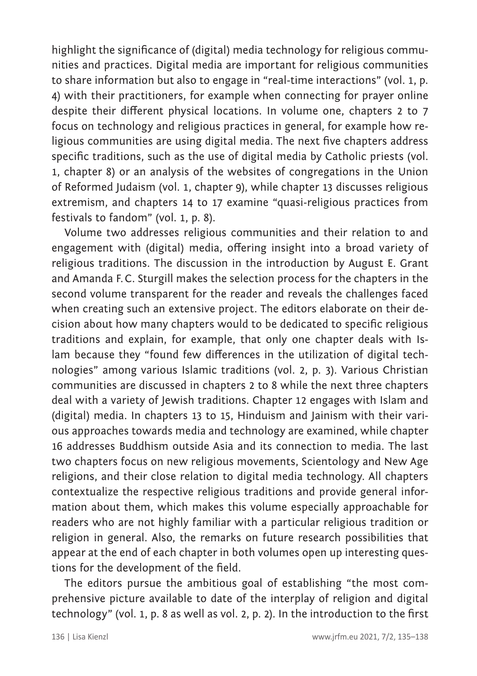highlight the significance of (digital) media technology for religious communities and practices. Digital media are important for religious communities to share information but also to engage in "real-time interactions" (vol. 1, p. 4) with their practitioners, for example when connecting for prayer online despite their different physical locations. In volume one, chapters 2 to 7 focus on technology and religious practices in general, for example how religious communities are using digital media. The next five chapters address specific traditions, such as the use of digital media by Catholic priests (vol. 1, chapter 8) or an analysis of the websites of congregations in the Union of Reformed Judaism (vol. 1, chapter 9), while chapter 13 discusses religious extremism, and chapters 14 to 17 examine "quasi-religious practices from festivals to fandom" (vol. 1, p. 8).

Volume two addresses religious communities and their relation to and engagement with (digital) media, offering insight into a broad variety of religious traditions. The discussion in the introduction by August E. Grant and Amanda F.C. Sturgill makes the selection process for the chapters in the second volume transparent for the reader and reveals the challenges faced when creating such an extensive project. The editors elaborate on their decision about how many chapters would to be dedicated to specific religious traditions and explain, for example, that only one chapter deals with Islam because they "found few differences in the utilization of digital technologies" among various Islamic traditions (vol. 2, p. 3). Various Christian communities are discussed in chapters 2 to 8 while the next three chapters deal with a variety of Jewish traditions. Chapter 12 engages with Islam and (digital) media. In chapters 13 to 15, Hinduism and Jainism with their various approaches towards media and technology are examined, while chapter 16 addresses Buddhism outside Asia and its connection to media. The last two chapters focus on new religious movements, Scientology and New Age religions, and their close relation to digital media technology. All chapters contextualize the respective religious traditions and provide general information about them, which makes this volume especially approachable for readers who are not highly familiar with a particular religious tradition or religion in general. Also, the remarks on future research possibilities that appear at the end of each chapter in both volumes open up interesting questions for the development of the field.

The editors pursue the ambitious goal of establishing "the most comprehensive picture available to date of the interplay of religion and digital technology" (vol. 1, p. 8 as well as vol. 2, p. 2). In the introduction to the first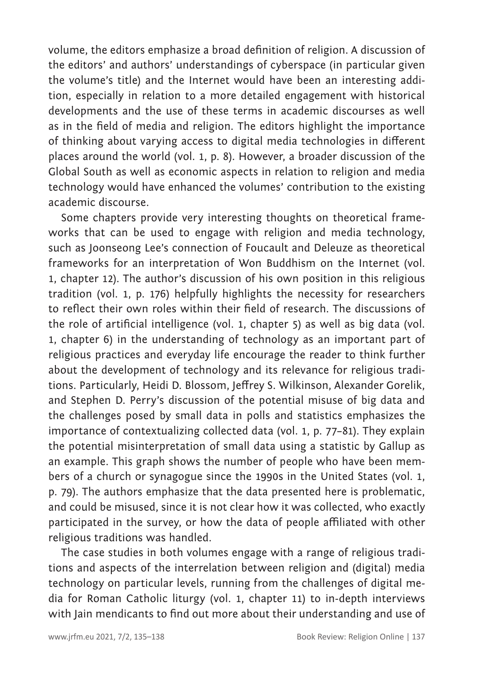volume, the editors emphasize a broad definition of religion. A discussion of the editors' and authors' understandings of cyberspace (in particular given the volume's title) and the Internet would have been an interesting addition, especially in relation to a more detailed engagement with historical developments and the use of these terms in academic discourses as well as in the field of media and religion. The editors highlight the importance of thinking about varying access to digital media technologies in different places around the world (vol. 1, p. 8). However, a broader discussion of the Global South as well as economic aspects in relation to religion and media technology would have enhanced the volumes' contribution to the existing academic discourse.

Some chapters provide very interesting thoughts on theoretical frameworks that can be used to engage with religion and media technology, such as Joonseong Lee's connection of Foucault and Deleuze as theoretical frameworks for an interpretation of Won Buddhism on the Internet (vol. 1, chapter 12). The author's discussion of his own position in this religious tradition (vol. 1, p. 176) helpfully highlights the necessity for researchers to reflect their own roles within their field of research. The discussions of the role of artificial intelligence (vol. 1, chapter 5) as well as big data (vol. 1, chapter 6) in the understanding of technology as an important part of religious practices and everyday life encourage the reader to think further about the development of technology and its relevance for religious traditions. Particularly, Heidi D. Blossom, Jeffrey S. Wilkinson, Alexander Gorelik, and Stephen D. Perry's discussion of the potential misuse of big data and the challenges posed by small data in polls and statistics emphasizes the importance of contextualizing collected data (vol. 1, p. 77–81). They explain the potential misinterpretation of small data using a statistic by Gallup as an example. This graph shows the number of people who have been members of a church or synagogue since the 1990s in the United States (vol. 1, p. 79). The authors emphasize that the data presented here is problematic, and could be misused, since it is not clear how it was collected, who exactly participated in the survey, or how the data of people affiliated with other religious traditions was handled.

The case studies in both volumes engage with a range of religious traditions and aspects of the interrelation between religion and (digital) media technology on particular levels, running from the challenges of digital media for Roman Catholic liturgy (vol. 1, chapter 11) to in-depth interviews with Jain mendicants to find out more about their understanding and use of